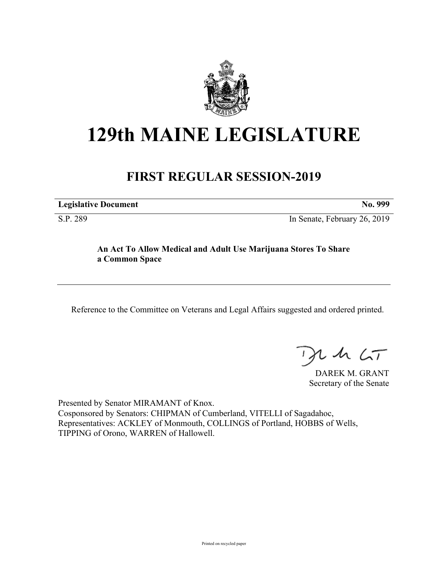

# **129th MAINE LEGISLATURE**

# **FIRST REGULAR SESSION-2019**

**Legislative Document No. 999**

S.P. 289 In Senate, February 26, 2019

## **An Act To Allow Medical and Adult Use Marijuana Stores To Share a Common Space**

Reference to the Committee on Veterans and Legal Affairs suggested and ordered printed.

 $125$ 

DAREK M. GRANT Secretary of the Senate

Presented by Senator MIRAMANT of Knox. Cosponsored by Senators: CHIPMAN of Cumberland, VITELLI of Sagadahoc, Representatives: ACKLEY of Monmouth, COLLINGS of Portland, HOBBS of Wells, TIPPING of Orono, WARREN of Hallowell.